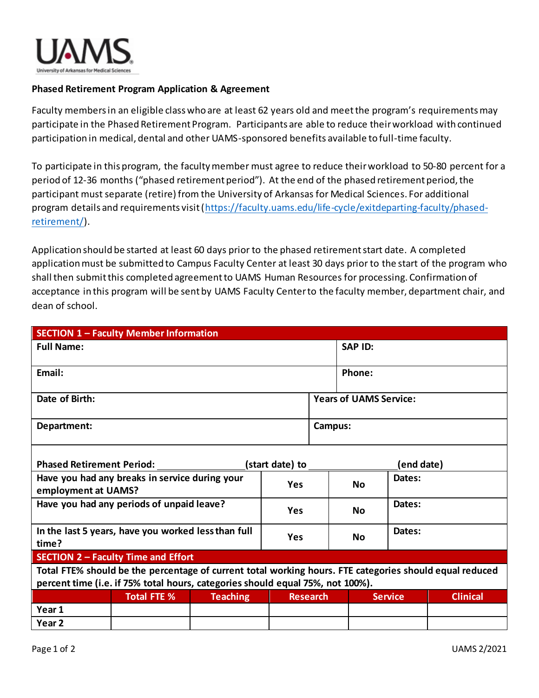

## **Phased Retirement Program Application & Agreement**

Faculty members in an eligible class who are at least 62 years old and meet the program's requirements may participate in the Phased Retirement Program. Participants are able to reduce their workload with continued participation in medical, dental and other UAMS-sponsored benefits available to full-time faculty.

To participate in this program, the faculty member must agree to reduce their workload to 50-80 percent for a period of 12-36 months ("phased retirement period"). At the end of the phased retirement period, the participant must separate (retire) from the University of Arkansas for Medical Sciences. For additional program details and requirements visit [\(https://faculty.uams.edu/life-cycle/exitdeparting-faculty/phased](https://faculty.uams.edu/life-cycle/exitdeparting-faculty/phased-retirement/)[retirement/\)](https://faculty.uams.edu/life-cycle/exitdeparting-faculty/phased-retirement/).

Application should be started at least 60 days prior to the phased retirement start date. A completed application must be submitted to Campus Faculty Center at least 30 days prior to the start of the program who shall then submit this completed agreement to UAMS Human Resources for processing. Confirmation of acceptance in this program will be sent by UAMS Faculty Center to the faculty member, department chair, and dean of school.

| <b>SECTION 1 - Faculty Member Information</b>                                                           |                    |                 |                 |  |                               |                |                 |  |
|---------------------------------------------------------------------------------------------------------|--------------------|-----------------|-----------------|--|-------------------------------|----------------|-----------------|--|
| <b>Full Name:</b>                                                                                       |                    |                 |                 |  | <b>SAP ID:</b>                |                |                 |  |
| Email:                                                                                                  |                    |                 |                 |  | Phone:                        |                |                 |  |
| Date of Birth:                                                                                          |                    |                 |                 |  | <b>Years of UAMS Service:</b> |                |                 |  |
| Department:                                                                                             |                    |                 |                 |  | Campus:                       |                |                 |  |
| <b>Phased Retirement Period:</b><br>(start date) to<br>(end date)                                       |                    |                 |                 |  |                               |                |                 |  |
| Have you had any breaks in service during your<br>employment at UAMS?                                   |                    |                 | <b>Yes</b>      |  | <b>No</b>                     | Dates:         |                 |  |
| Have you had any periods of unpaid leave?                                                               |                    |                 | Yes             |  | <b>No</b>                     | Dates:         |                 |  |
| In the last 5 years, have you worked less than full<br>time?                                            |                    |                 | <b>Yes</b>      |  | <b>No</b>                     | Dates:         |                 |  |
| SECTION 2 - Faculty Time and Effort                                                                     |                    |                 |                 |  |                               |                |                 |  |
| Total FTE% should be the percentage of current total working hours. FTE categories should equal reduced |                    |                 |                 |  |                               |                |                 |  |
| percent time (i.e. if 75% total hours, categories should equal 75%, not 100%).                          |                    |                 |                 |  |                               |                |                 |  |
|                                                                                                         | <b>Total FTE %</b> | <b>Teaching</b> | <b>Research</b> |  |                               | <b>Service</b> | <b>Clinical</b> |  |
| Year 1                                                                                                  |                    |                 |                 |  |                               |                |                 |  |
| Year 2                                                                                                  |                    |                 |                 |  |                               |                |                 |  |